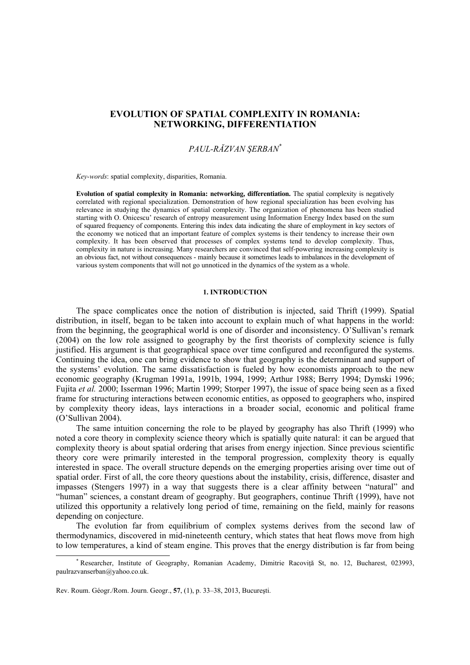# **EVOLUTION OF SPATIAL COMPLEXITY IN ROMANIA: NETWORKING, DIFFERENTIATION**

## *PAUL-RĂZVAN ŞERBAN\**

*Key-words*: spatial complexity, disparities, Romania.

**Evolution of spatial complexity in Romania: networking, differentiation.** The spatial complexity is negatively correlated with regional specialization. Demonstration of how regional specialization has been evolving has relevance in studying the dynamics of spatial complexity. The organization of phenomena has been studied starting with O. Onicescu' research of entropy measurement using Information Energy Index based on the sum of squared frequency of components. Entering this index data indicating the share of employment in key sectors of the economy we noticed that an important feature of complex systems is their tendency to increase their own complexity. It has been observed that processes of complex systems tend to develop complexity. Thus, complexity in nature is increasing. Many researchers are convinced that self-powering increasing complexity is an obvious fact, not without consequences - mainly because it sometimes leads to imbalances in the development of various system components that will not go unnoticed in the dynamics of the system as a whole.

#### **1. INTRODUCTION**

The space complicates once the notion of distribution is injected, said Thrift (1999). Spatial distribution, in itself, began to be taken into account to explain much of what happens in the world: from the beginning, the geographical world is one of disorder and inconsistency. O'Sullivan's remark (2004) on the low role assigned to geography by the first theorists of complexity science is fully justified. His argument is that geographical space over time configured and reconfigured the systems. Continuing the idea, one can bring evidence to show that geography is the determinant and support of the systems' evolution. The same dissatisfaction is fueled by how economists approach to the new economic geography (Krugman 1991a, 1991b, 1994, 1999; Arthur 1988; Berry 1994; Dymski 1996; Fujita *et al.* 2000; Isserman 1996; Martin 1999; Storper 1997), the issue of space being seen as a fixed frame for structuring interactions between economic entities, as opposed to geographers who, inspired by complexity theory ideas, lays interactions in a broader social, economic and political frame (O'Sullivan 2004).

The same intuition concerning the role to be played by geography has also Thrift (1999) who noted a core theory in complexity science theory which is spatially quite natural: it can be argued that complexity theory is about spatial ordering that arises from energy injection. Since previous scientific theory core were primarily interested in the temporal progression, complexity theory is equally interested in space. The overall structure depends on the emerging properties arising over time out of spatial order. First of all, the core theory questions about the instability, crisis, difference, disaster and impasses (Stengers 1997) in a way that suggests there is a clear affinity between "natural" and "human" sciences, a constant dream of geography. But geographers, continue Thrift (1999), have not utilized this opportunity a relatively long period of time, remaining on the field, mainly for reasons depending on conjecture.

The evolution far from equilibrium of complex systems derives from the second law of thermodynamics, discovered in mid-nineteenth century, which states that heat flows move from high to low temperatures, a kind of steam engine. This proves that the energy distribution is far from being

 $\overline{\phantom{a}}$ <sup>\*</sup> Researcher, Institute of Geography, Romanian Academy, Dimitrie Racovită St, no. 12, Bucharest, 023993, paulrazvanserban@yahoo.co.uk.

Rev. Roum. Géogr./Rom. Journ. Geogr., **57**, (1), p. 33–38, 2013, Bucureşti.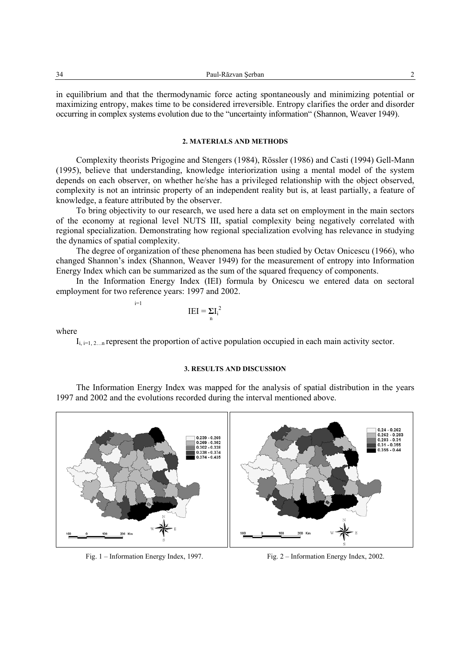| 34 | . DZL<br>. |  |
|----|------------|--|
|    |            |  |

in equilibrium and that the thermodynamic force acting spontaneously and minimizing potential or maximizing entropy, makes time to be considered irreversible. Entropy clarifies the order and disorder occurring in complex systems evolution due to the "uncertainty information" (Shannon, Weaver 1949).

#### **2. MATERIALS AND METHODS**

Complexity theorists Prigogine and Stengers (1984), Rössler (1986) and Casti (1994) Gell-Mann (1995), believe that understanding, knowledge interiorization using a mental model of the system depends on each observer, on whether he/she has a privileged relationship with the object observed, complexity is not an intrinsic property of an independent reality but is, at least partially, a feature of knowledge, a feature attributed by the observer.

To bring objectivity to our research, we used here a data set on employment in the main sectors of the economy at regional level NUTS III, spatial complexity being negatively correlated with regional specialization. Demonstrating how regional specialization evolving has relevance in studying the dynamics of spatial complexity.

The degree of organization of these phenomena has been studied by Octav Onicescu (1966), who changed Shannon's index (Shannon, Weaver 1949) for the measurement of entropy into Information Energy Index which can be summarized as the sum of the squared frequency of components.

In the Information Energy Index (IEI) formula by Onicescu we entered data on sectoral employment for two reference years: 1997 and 2002.

> $IEI = \Sigma I_i^2$ <sup>n</sup>

where

 $i=1$ 

 $I_{i,j=1,2...n}$  represent the proportion of active population occupied in each main activity sector.

## **3. RESULTS AND DISCUSSION**

The Information Energy Index was mapped for the analysis of spatial distribution in the years 1997 and 2002 and the evolutions recorded during the interval mentioned above.



Fig. 1 – Information Energy Index, 1997. Fig. 2 – Information Energy Index, 2002.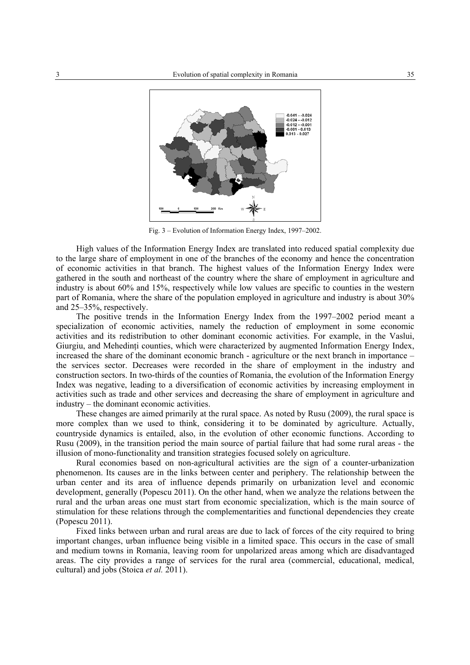

Fig. 3 – Evolution of Information Energy Index, 1997–2002.

High values of the Information Energy Index are translated into reduced spatial complexity due to the large share of employment in one of the branches of the economy and hence the concentration of economic activities in that branch. The highest values of the Information Energy Index were gathered in the south and northeast of the country where the share of employment in agriculture and industry is about 60% and 15%, respectively while low values are specific to counties in the western part of Romania, where the share of the population employed in agriculture and industry is about 30% and 25–35%, respectively.

The positive trends in the Information Energy Index from the 1997–2002 period meant a specialization of economic activities, namely the reduction of employment in some economic activities and its redistribution to other dominant economic activities. For example, in the Vaslui, Giurgiu, and Mehedinti counties, which were characterized by augmented Information Energy Index, increased the share of the dominant economic branch - agriculture or the next branch in importance – the services sector. Decreases were recorded in the share of employment in the industry and construction sectors. In two-thirds of the counties of Romania, the evolution of the Information Energy Index was negative, leading to a diversification of economic activities by increasing employment in activities such as trade and other services and decreasing the share of employment in agriculture and industry – the dominant economic activities.

These changes are aimed primarily at the rural space. As noted by Rusu (2009), the rural space is more complex than we used to think, considering it to be dominated by agriculture. Actually, countryside dynamics is entailed, also, in the evolution of other economic functions. According to Rusu (2009), in the transition period the main source of partial failure that had some rural areas - the illusion of mono-functionality and transition strategies focused solely on agriculture.

Rural economies based on non-agricultural activities are the sign of a counter-urbanization phenomenon. Its causes are in the links between center and periphery. The relationship between the urban center and its area of influence depends primarily on urbanization level and economic development, generally (Popescu 2011). On the other hand, when we analyze the relations between the rural and the urban areas one must start from economic specialization, which is the main source of stimulation for these relations through the complementarities and functional dependencies they create (Popescu 2011).

Fixed links between urban and rural areas are due to lack of forces of the city required to bring important changes, urban influence being visible in a limited space. This occurs in the case of small and medium towns in Romania, leaving room for unpolarized areas among which are disadvantaged areas. The city provides a range of services for the rural area (commercial, educational, medical, cultural) and jobs (Stoica *et al.* 2011).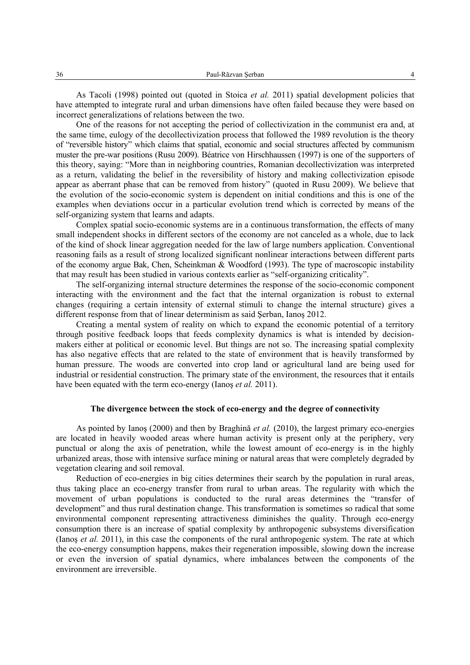As Tacoli (1998) pointed out (quoted in Stoica *et al.* 2011) spatial development policies that have attempted to integrate rural and urban dimensions have often failed because they were based on incorrect generalizations of relations between the two.

One of the reasons for not accepting the period of collectivization in the communist era and, at the same time, eulogy of the decollectivization process that followed the 1989 revolution is the theory of "reversible history" which claims that spatial, economic and social structures affected by communism muster the pre-war positions (Rusu 2009). Béatrice von Hirschhaussen (1997) is one of the supporters of this theory, saying: "More than in neighboring countries, Romanian decollectivization was interpreted as a return, validating the belief in the reversibility of history and making collectivization episode appear as aberrant phase that can be removed from history" (quoted in Rusu 2009). We believe that the evolution of the socio-economic system is dependent on initial conditions and this is one of the examples when deviations occur in a particular evolution trend which is corrected by means of the self-organizing system that learns and adapts.

Complex spatial socio-economic systems are in a continuous transformation, the effects of many small independent shocks in different sectors of the economy are not canceled as a whole, due to lack of the kind of shock linear aggregation needed for the law of large numbers application. Conventional reasoning fails as a result of strong localized significant nonlinear interactions between different parts of the economy argue Bak, Chen, Scheinkman & Woodford (1993). The type of macroscopic instability that may result has been studied in various contexts earlier as "self-organizing criticality".

The self-organizing internal structure determines the response of the socio-economic component interacting with the environment and the fact that the internal organization is robust to external changes (requiring a certain intensity of external stimuli to change the internal structure) gives a different response from that of linear determinism as said Şerban, Ianoş 2012.

Creating a mental system of reality on which to expand the economic potential of a territory through positive feedback loops that feeds complexity dynamics is what is intended by decisionmakers either at political or economic level. But things are not so. The increasing spatial complexity has also negative effects that are related to the state of environment that is heavily transformed by human pressure. The woods are converted into crop land or agricultural land are being used for industrial or residential construction. The primary state of the environment, the resources that it entails have been equated with the term eco-energy (Ianoş *et al.* 2011).

### **The divergence between the stock of eco-energy and the degree of connectivity**

As pointed by Ianoş (2000) and then by Braghină *et al.* (2010), the largest primary eco-energies are located in heavily wooded areas where human activity is present only at the periphery, very punctual or along the axis of penetration, while the lowest amount of eco-energy is in the highly urbanized areas, those with intensive surface mining or natural areas that were completely degraded by vegetation clearing and soil removal.

Reduction of eco-energies in big cities determines their search by the population in rural areas, thus taking place an eco-energy transfer from rural to urban areas. The regularity with which the movement of urban populations is conducted to the rural areas determines the "transfer of development" and thus rural destination change. This transformation is sometimes so radical that some environmental component representing attractiveness diminishes the quality. Through eco-energy consumption there is an increase of spatial complexity by anthropogenic subsystems diversification (Ianoş *et al.* 2011), in this case the components of the rural anthropogenic system. The rate at which the eco-energy consumption happens, makes their regeneration impossible, slowing down the increase or even the inversion of spatial dynamics, where imbalances between the components of the environment are irreversible.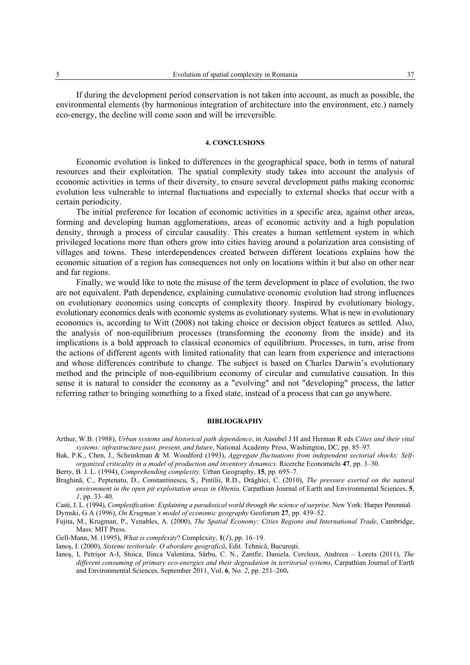If during the development period conservation is not taken into account, as much as possible, the environmental elements (by harmonious integration of architecture into the environment, etc.) namely eco-energy, the decline will come soon and will be irreversible.

### **4. CONCLUSIONS**

Economic evolution is linked to differences in the geographical space, both in terms of natural resources and their exploitation. The spatial complexity study takes into account the analysis of economic activities in terms of their diversity, to ensure several development paths making economic evolution less vulnerable to internal fluctuations and especially to external shocks that occur with a certain periodicity.

The initial preference for location of economic activities in a specific area, against other areas, forming and developing human agglomerations, areas of economic activity and a high population density, through a process of circular causality. This creates a human settlement system in which privileged locations more than others grow into cities having around a polarization area consisting of villages and towns. These interdependences created between different locations explains how the economic situation of a region has consequences not only on locations within it but also on other near and far regions.

Finally, we would like to note the misuse of the term development in place of evolution, the two are not equivalent. Path dependence, explaining cumulative economic evolution had strong influences on evolutionary economics using concepts of complexity theory. Inspired by evolutionary biology, evolutionary economics deals with economic systems as evolutionary systems. What is new in evolutionary economics is, according to Witt (2008) not taking choice or decision object features as settled. Also, the analysis of non-equilibrium processes (transforming the economy from the inside) and its implications is a bold approach to classical economics of equilibrium. Processes, in turn, arise from the actions of different agents with limited rationality that can learn from experience and interactions and whose differences contribute to change. The subject is based on Charles Darwin's evolutionary method and the principle of non-equilibrium economy of circular and cumulative causation. In this sense it is natural to consider the economy as a "evolving" and not "developing" process, the latter referring rather to bringing something to a fixed state, instead of a process that can go anywhere.

#### **BIBLIOGRAPHY**

- Arthur, W.B. (1988), *Urban systems and historical path dependence*, in Ausubel J H and Herman R eds *Cities and their vital systems: infrastructure past, present, and future*, National Academy Press, Washington, DC, pp. 85–97.
- Bak, P.K., Chen, J., Scheinkman & M. Woodford (1993), *Aggregate fluctuations from independent sectorial shocks: Selforganized criticality in a model of production and inventory dynamics.* Ricerche Economichi **47**, pp. 3–30.
- Berry, B. J. L. (1994), *Comprehending complexity,* Urban Geography, **15**, pp. 695–7.
- Braghină, C., Peptenatu, D., Constantinescu, S., Pintilii, R.D., Drăghici, C. (2010), *The pressure exerted on the natural environment in the open pit exploitation areas in Oltenia,* Carpathian Journal of Earth and Environmental Sciences, **5**, *1*, pp. 33–40.
- Casti, J. L. (1994), *Complexification: Explaining a paradoxical world through the science of surprise*. New York: Harper Perennial.
- Dymski, G A (1996), *On Krugman's model of economic geography* Geoforum **27**, pp. 439–52.
- Fujita, M., Krugman, P., Venables, A. (2000), *The Spatial Economy: Cities Regions and International Trade*, Cambridge, Mass: MIT Press.
- Gell-Mann, M. (1995), *What is complexity*? Complexity, **1**(*1*), pp. 16–19.
- Ianoş, I. (2000), *Sisteme teritoriale. O abordare geografică*, Edit. Tehnică, Bucureşti.
- Ianoş, I, Petrişor A-I, Stoica, Ilinca Valentina, Sârbu, C. N., Zamfir, Daniela, Cercleux, Andreea Loreta (2011), *The different consuming of primary eco-energies and their degradation in territorial systems*, Carpathian Journal of Earth and Environmental Sciences, September 2011, Vol. **6**, No. *2*, pp. 251–260**.**